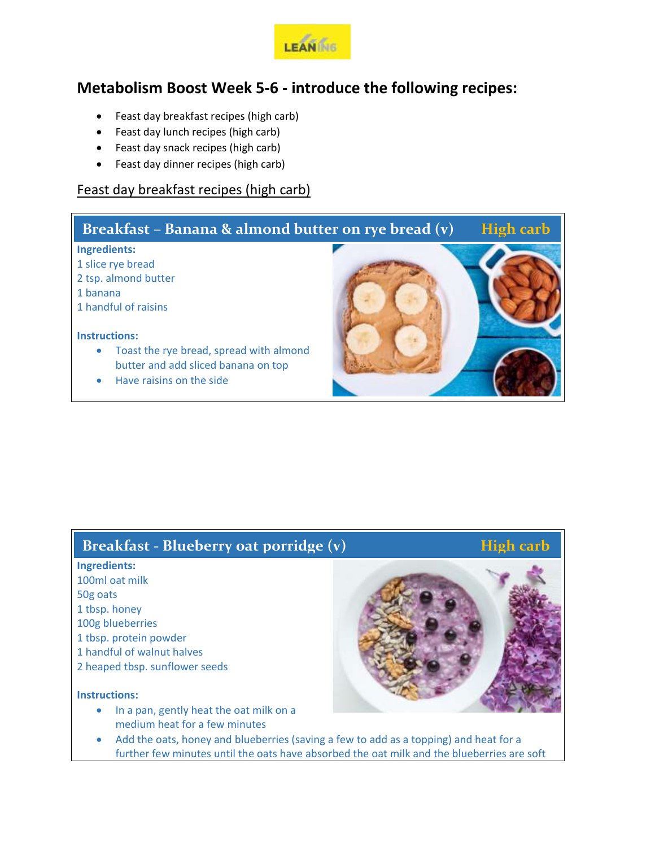

# **Metabolism Boost Week 5-6 - introduce the following recipes:**

- Feast day breakfast recipes (high carb)
- Feast day lunch recipes (high carb)
- Feast day snack recipes (high carb)
- Feast day dinner recipes (high carb)

## Feast day breakfast recipes (high carb)

# **Ingredients:** 1 slice rye bread 2 tsp. almond butter 1 banana 1 handful of raisins **Instructions:** Toast the rye bread, spread with almond butter and add sliced banana on top Have raisins on the side **Breakfast – Banana & almond butter on rye bread (v) High carb**

## **Breakfast - Blueberry oat porridge (v) High carb**

## **Ingredients:**

- 100ml oat milk 50g oats 1 tbsp. honey 100g blueberries 1 tbsp. protein powder 1 handful of walnut halves
- 2 heaped tbsp. sunflower seeds

#### **Instructions:**

• In a pan, gently heat the oat milk on a medium heat for a few minutes



 Add the oats, honey and blueberries (saving a few to add as a topping) and heat for a further few minutes until the oats have absorbed the oat milk and the blueberries are soft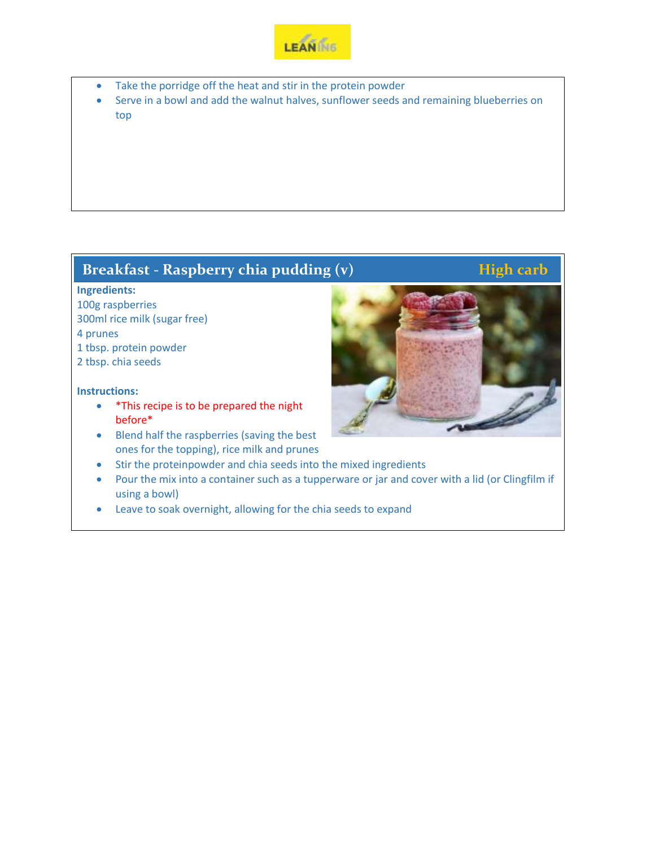

- Take the porridge off the heat and stir in the protein powder
- Serve in a bowl and add the walnut halves, sunflower seeds and remaining blueberries on top

# **Breakfast - Raspberry chia pudding (v) High carb**

### **Ingredients:**

100g raspberries 300ml rice milk (sugar free) 4 prunes 1 tbsp. protein powder

2 tbsp. chia seeds

- \*This recipe is to be prepared the night before\*
- Blend half the raspberries (saving the best ones for the topping), rice milk and prunes
- Stir the proteinpowder and chia seeds into the mixed ingredients
- Pour the mix into a container such as a tupperware or jar and cover with a lid (or Clingfilm if using a bowl)
- Leave to soak overnight, allowing for the chia seeds to expand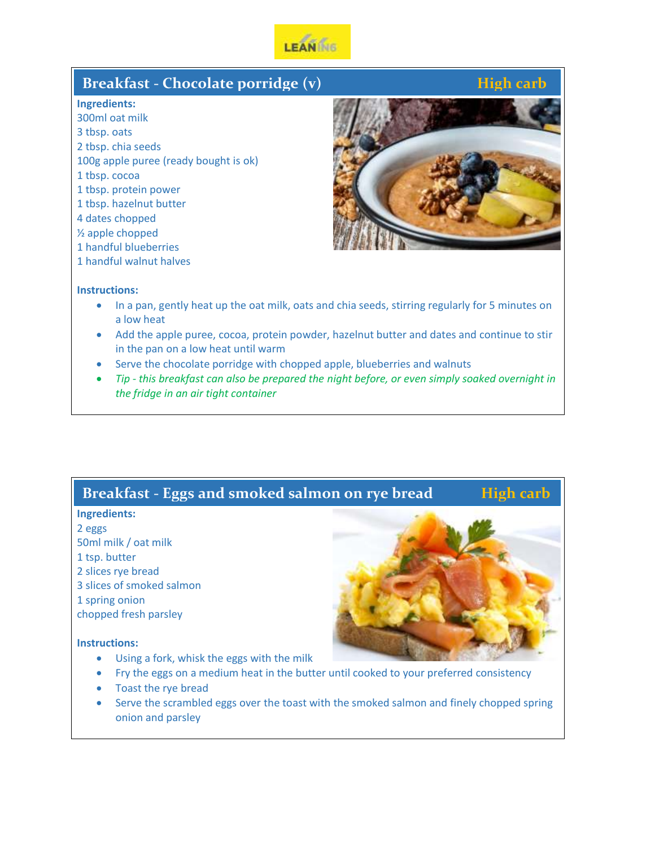

## **Breakfast - Chocolate porridge (v) High carb High carb**

### **Ingredients:**

300ml oat milk 3 tbsp. oats 2 tbsp. chia seeds 100g apple puree (ready bought is ok) 1 tbsp. cocoa 1 tbsp. protein power 1 tbsp. hazelnut butter 4 dates chopped ½ apple chopped 1 handful blueberries



## **Instructions:**

1 handful walnut halves

- In a pan, gently heat up the oat milk, oats and chia seeds, stirring regularly for 5 minutes on a low heat
- Add the apple puree, cocoa, protein powder, hazelnut butter and dates and continue to stir in the pan on a low heat until warm
- Serve the chocolate porridge with chopped apple, blueberries and walnuts
- *Tip - this breakfast can also be prepared the night before, or even simply soaked overnight in the fridge in an air tight container*

## **Breakfast - Eggs and smoked salmon on rye bread High carb**

## **Ingredients:**

2 eggs 50ml milk / oat milk 1 tsp. butter 2 slices rye bread 3 slices of smoked salmon 1 spring onion chopped fresh parsley

- Using a fork, whisk the eggs with the milk
- Fry the eggs on a medium heat in the butter until cooked to your preferred consistency
- Toast the rye bread
- Serve the scrambled eggs over the toast with the smoked salmon and finely chopped spring onion and parsley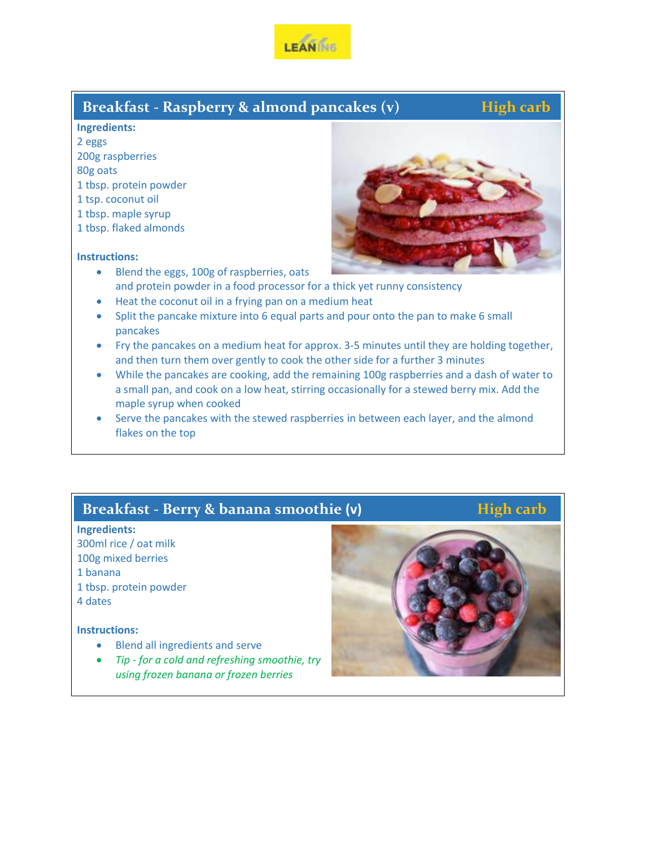

## **Breakfast - Raspberry & almond pancakes (v) High carb**

#### **Ingredients:**

2 eggs 200g raspberries 80g oats

- 1 tbsp. protein powder
- 1 tsp. coconut oil
- 1 tbsp. maple syrup
- 1 tbsp. flaked almonds

### **Instructions:**



- Blend the eggs, 100g of raspberries, oats and protein powder in a food processor for a thick yet runny consistency
- Heat the coconut oil in a frying pan on a medium heat
- Split the pancake mixture into 6 equal parts and pour onto the pan to make 6 small pancakes
- Fry the pancakes on a medium heat for approx. 3-5 minutes until they are holding together, and then turn them over gently to cook the other side for a further 3 minutes
- While the pancakes are cooking, add the remaining 100g raspberries and a dash of water to a small pan, and cook on a low heat, stirring occasionally for a stewed berry mix. Add the maple syrup when cooked
- Serve the pancakes with the stewed raspberries in between each layer, and the almond flakes on the top

## **Breakfast - Berry & banana smoothie** (v) **High carb**

## **Ingredients:**

300ml rice / oat milk 100g mixed berries 1 banana

1 tbsp. protein powder

4 dates

- Blend all ingredients and serve
- *Tip - for a cold and refreshing smoothie, try using frozen banana or frozen berries*

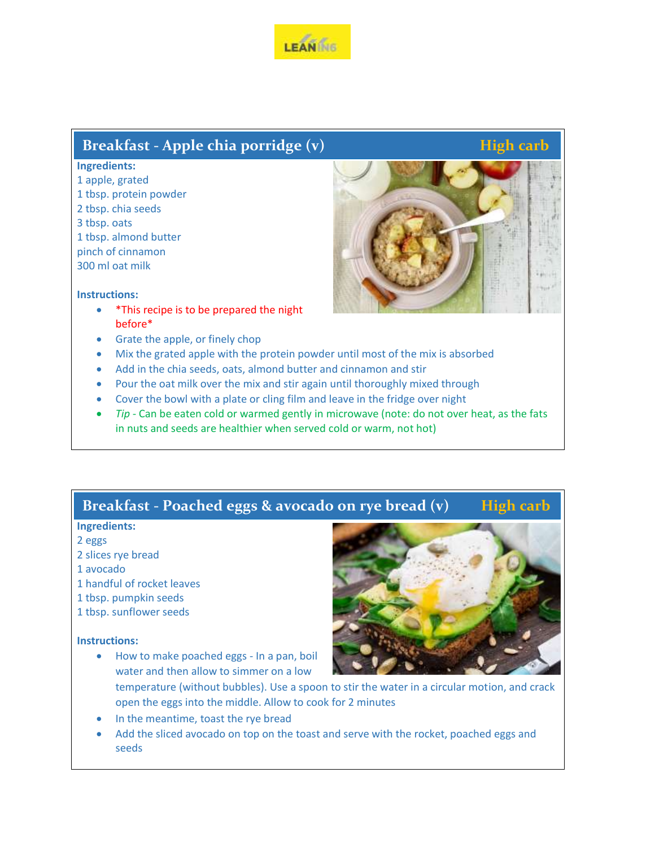

# **Breakfast - Apple chia porridge (v)** *High carb*

## **Ingredients:**

1 apple, grated 1 tbsp. protein powder 2 tbsp. chia seeds 3 tbsp. oats 1 tbsp. almond butter pinch of cinnamon 300 ml oat milk



## **Instructions:**

- \*This recipe is to be prepared the night before\*
- Grate the apple, or finely chop
- Mix the grated apple with the protein powder until most of the mix is absorbed
- Add in the chia seeds, oats, almond butter and cinnamon and stir
- Pour the oat milk over the mix and stir again until thoroughly mixed through
- Cover the bowl with a plate or cling film and leave in the fridge over night
- *Tip -* Can be eaten cold or warmed gently in microwave (note: do not over heat, as the fats in nuts and seeds are healthier when served cold or warm, not hot)

# **Breakfast - Poached eggs & avocado on rye bread (v) High carb**

## **Ingredients:**

- 2 eggs
- 2 slices rye bread

### 1 avocado

- 1 handful of rocket leaves
- 1 tbsp. pumpkin seeds
- 1 tbsp. sunflower seeds

#### **Instructions:**

 How to make poached eggs - In a pan, boil water and then allow to simmer on a low



- temperature (without bubbles). Use a spoon to stir the water in a circular motion, and crack open the eggs into the middle. Allow to cook for 2 minutes
- In the meantime, toast the rye bread
- Add the sliced avocado on top on the toast and serve with the rocket, poached eggs and seeds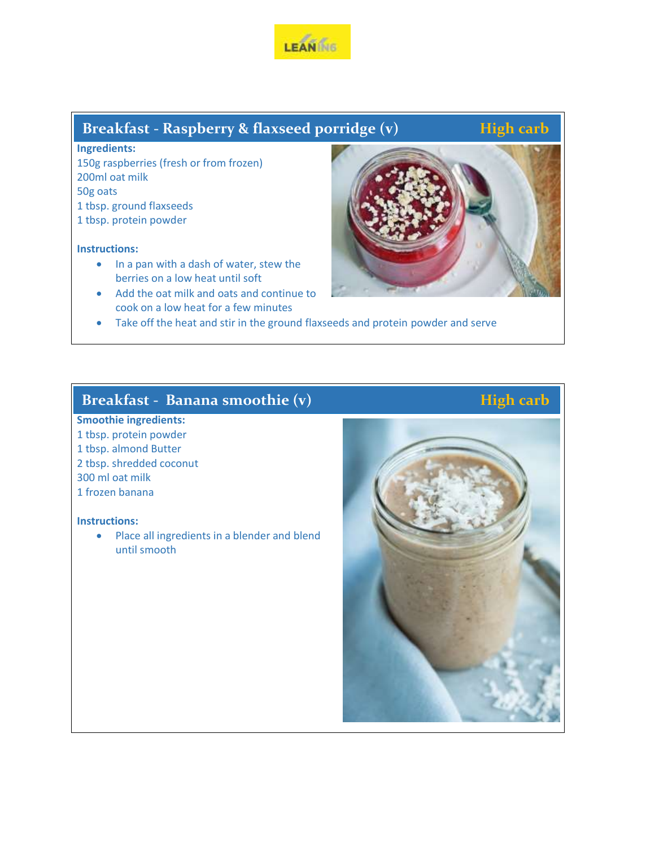

# **Breakfast - Raspberry & flaxseed porridge (v) <b>High carb**

**Ingredients:** 150g raspberries (fresh or from frozen) 200ml oat milk 50g oats 1 tbsp. ground flaxseeds 1 tbsp. protein powder

## **Instructions:**

- In a pan with a dash of water, stew the berries on a low heat until soft
- Add the oat milk and oats and continue to cook on a low heat for a few minutes



Take off the heat and stir in the ground flaxseeds and protein powder and serve

# **Breakfast - Banana smoothie (v) High carb**

## **Smoothie ingredients:** 1 tbsp. protein powder 1 tbsp. almond Butter 2 tbsp. shredded coconut 300 ml oat milk

## 1 frozen banana

## **Instructions:**

• Place all ingredients in a blender and blend until smooth

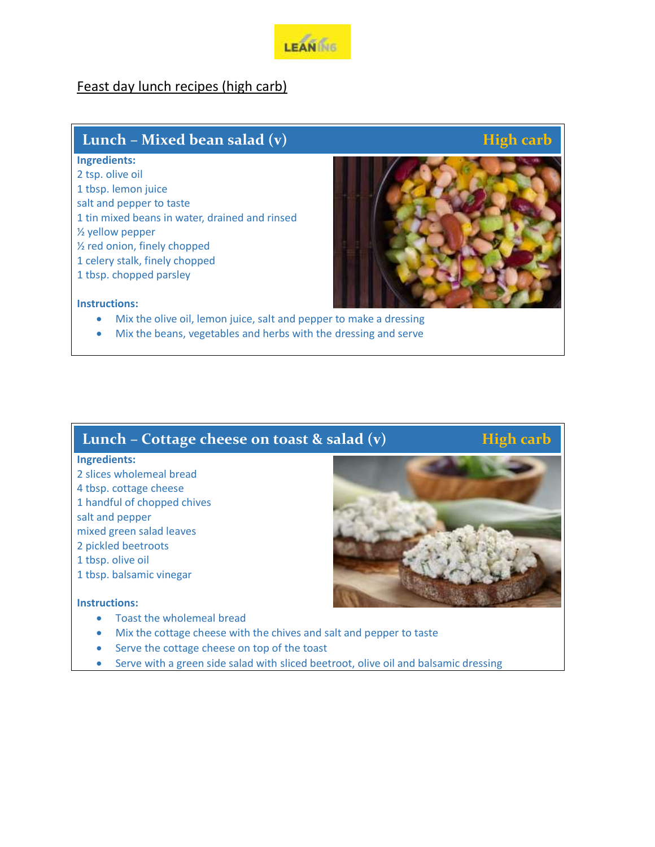

## Feast day lunch recipes (high carb)

## **Lunch – Mixed bean salad (v)** *High carb High carb*

 **Wednesday**

#### **Ingredients:**

2 tsp. olive oil 1 tbsp. lemon juice salt and pepper to taste 1 tin mixed beans in water, drained and rinsed ½ yellow pepper ½ red onion, finely chopped 1 celery stalk, finely chopped 1 tbsp. chopped parsley



### **Instructions:**

- Mix the olive oil, lemon juice, salt and pepper to make a dressing
- Mix the beans, vegetables and herbs with the dressing and serve

## **Lunch – Cottage cheese on toast & salad (v) High carb**

### **Ingredients:**

- 2 slices wholemeal bread
- 4 tbsp. cottage cheese
- 1 handful of chopped chives
- salt and pepper
- mixed green salad leaves
- 2 pickled beetroots
- 1 tbsp. olive oil
- 1 tbsp. balsamic vinegar

- Toast the wholemeal bread
- Mix the cottage cheese with the chives and salt and pepper to taste
- Serve the cottage cheese on top of the toast
- Serve with a green side salad with sliced beetroot, olive oil and balsamic dressing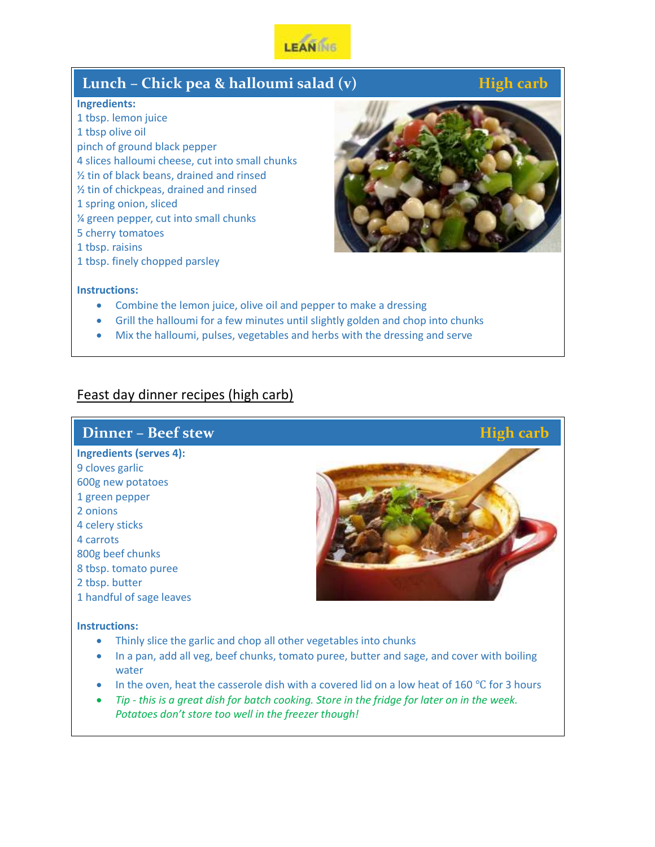

## **Lunch – Chick pea & halloumi salad (v) High carb**

## **Ingredients:**

1 tbsp. lemon juice 1 tbsp olive oil pinch of ground black pepper 4 slices halloumi cheese, cut into small chunks ½ tin of black beans, drained and rinsed ½ tin of chickpeas, drained and rinsed 1 spring onion, sliced ¼ green pepper, cut into small chunks 5 cherry tomatoes 1 tbsp. raisins

1 tbsp. finely chopped parsley



#### **Instructions:**

- Combine the lemon juice, olive oil and pepper to make a dressing
- Grill the halloumi for a few minutes until slightly golden and chop into chunks
- Mix the halloumi, pulses, vegetables and herbs with the dressing and serve

## Feast day dinner recipes (high carb)

## **Ingredients (serves 4):** 9 cloves garlic 600g new potatoes 1 green pepper 2 onions 4 celery sticks 4 carrots 800g beef chunks 8 tbsp. tomato puree 2 tbsp. butter 1 handful of sage leaves **Instructions: Dinner – Beef stew**<br> **Example 2 High carb**

- Thinly slice the garlic and chop all other vegetables into chunks
- In a pan, add all veg, beef chunks, tomato puree, butter and sage, and cover with boiling water
- $\bullet$  In the oven, heat the casserole dish with a covered lid on a low heat of 160 °C for 3 hours
- *Tip - this is a great dish for batch cooking. Store in the fridge for later on in the week. Potatoes don't store too well in the freezer though!*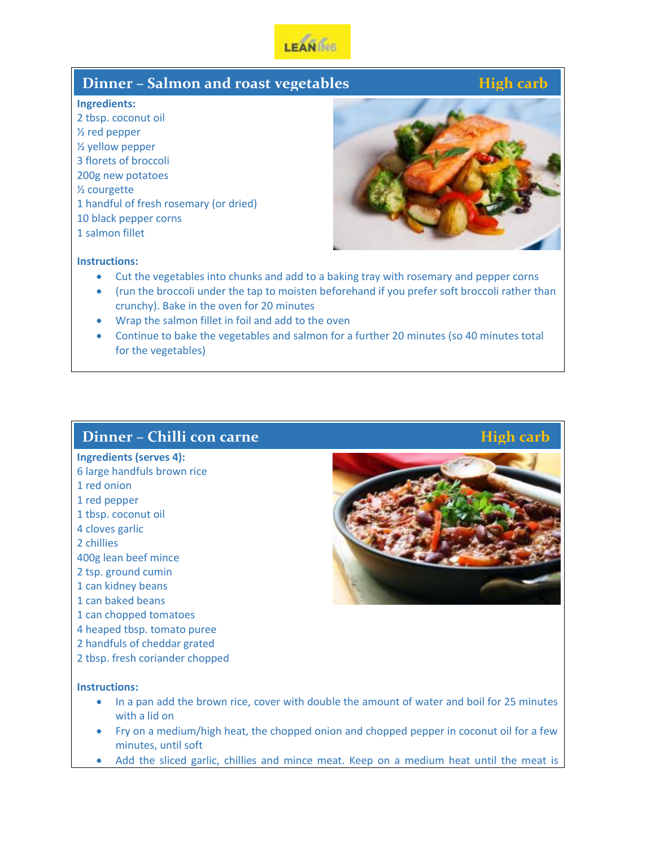

## **Dinner – Salmon and roast vegetables**

## **Ingredients:**

2 tbsp. coconut oil ½ red pepper ½ yellow pepper 3 florets of broccoli 200g new potatoes ½ courgette 1 handful of fresh rosemary (or dried) 10 black pepper corns 1 salmon fillet



## **Instructions:**

- Cut the vegetables into chunks and add to a baking tray with rosemary and pepper corns
- (run the broccoli under the tap to moisten beforehand if you prefer soft broccoli rather than crunchy). Bake in the oven for 20 minutes
- Wrap the salmon fillet in foil and add to the oven
- Continue to bake the vegetables and salmon for a further 20 minutes (so 40 minutes total for the vegetables)

## **Dinner – Chilli con carne** *Allendard <b>Executive Constant High carb*

### **Ingredients (serves 4):**

- 6 large handfuls brown rice
- 1 red onion
- 1 red pepper
- 1 tbsp. coconut oil
- 4 cloves garlic
- 2 chillies
- 400g lean beef mince
- 2 tsp. ground cumin
- 1 can kidney beans
- 1 can baked beans
- 1 can chopped tomatoes
- 4 heaped tbsp. tomato puree
- 2 handfuls of cheddar grated
- 2 tbsp. fresh coriander chopped

- In a pan add the brown rice, cover with double the amount of water and boil for 25 minutes with a lid on
- Fry on a medium/high heat, the chopped onion and chopped pepper in coconut oil for a few minutes, until soft
- Add the sliced garlic, chillies and mince meat. Keep on a medium heat until the meat is

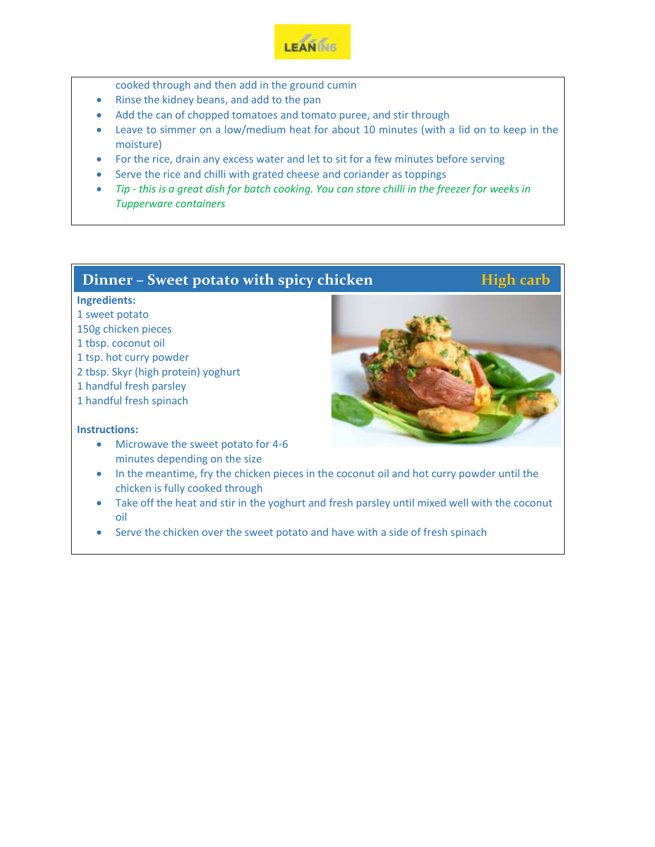

- cooked through and then add in the ground cumin
- Rinse the kidney beans, and add to the pan
- Add the can of chopped tomatoes and tomato puree, and stir through
- Leave to simmer on a low/medium heat for about 10 minutes (with a lid on to keep in the moisture)
- For the rice, drain any excess water and let to sit for a few minutes before serving
- Serve the rice and chilli with grated cheese and coriander as toppings
- *Tip - this is a great dish for batch cooking. You can store chilli in the freezer for weeks in Tupperware containers*

## **Dinner – Sweet potato with spicy chicken**<br> **High carb**

## **Ingredients:**

- 1 sweet potato
- 150g chicken pieces
- 1 tbsp. coconut oil
- 1 tsp. hot curry powder
- 2 tbsp. Skyr (high protein) yoghurt
- 1 handful fresh parsley
- 1 handful fresh spinach

- Microwave the sweet potato for 4-6 minutes depending on the size
- In the meantime, fry the chicken pieces in the coconut oil and hot curry powder until the chicken is fully cooked through
- Take off the heat and stir in the yoghurt and fresh parsley until mixed well with the coconut oil
- Serve the chicken over the sweet potato and have with a side of fresh spinach

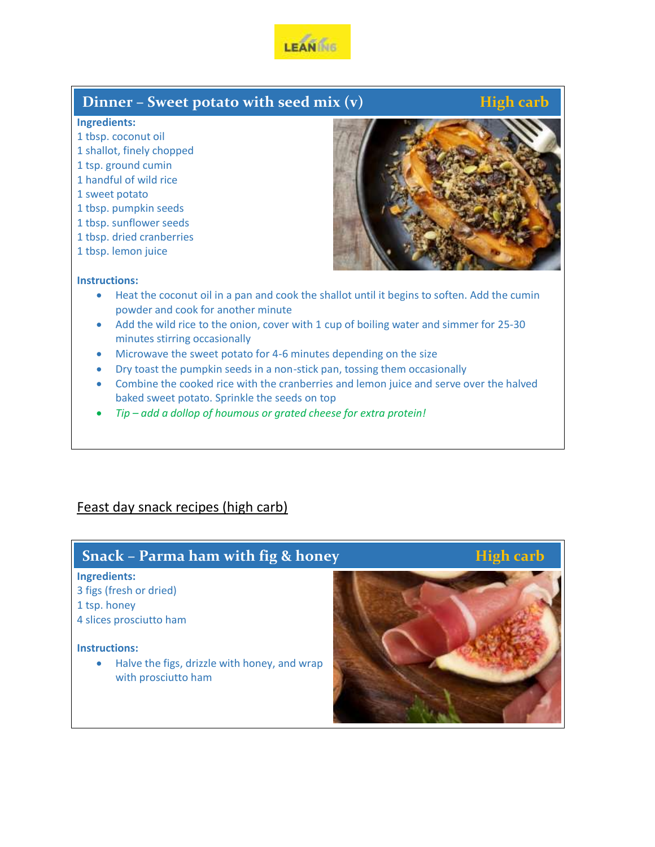

## **Dinner – Sweet potato with seed mix (v)** High carb

### **Ingredients:**

- 1 tbsp. coconut oil
- 1 shallot, finely chopped
- 1 tsp. ground cumin
- 1 handful of wild rice
- 1 sweet potato
- 1 tbsp. pumpkin seeds
- 1 tbsp. sunflower seeds
- 1 tbsp. dried cranberries
- 1 tbsp. lemon juice



### **Instructions:**

- Heat the coconut oil in a pan and cook the shallot until it begins to soften. Add the cumin powder and cook for another minute
- Add the wild rice to the onion, cover with 1 cup of boiling water and simmer for 25-30 minutes stirring occasionally
- Microwave the sweet potato for 4-6 minutes depending on the size
- Dry toast the pumpkin seeds in a non-stick pan, tossing them occasionally
- Combine the cooked rice with the cranberries and lemon juice and serve over the halved baked sweet potato. Sprinkle the seeds on top
- *Tip – add a dollop of houmous or grated cheese for extra protein!*

## Feast day snack recipes (high carb)

## **Snack** – Parma ham with fig & honey<br> **High carb**

#### **Ingredients:**

- 3 figs (fresh or dried)
- 1 tsp. honey
- 4 slices prosciutto ham

### **Instructions:**

• Halve the figs, drizzle with honey, and wrap with prosciutto ham